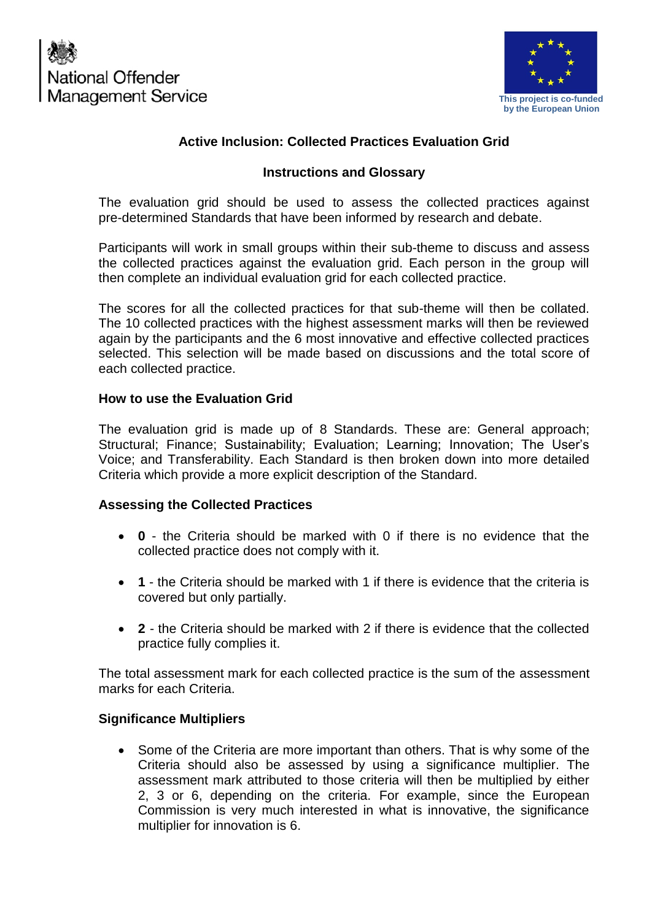



## **Active Inclusion: Collected Practices Evaluation Grid**

### **Instructions and Glossary**

The evaluation grid should be used to assess the collected practices against pre-determined Standards that have been informed by research and debate.

Participants will work in small groups within their sub-theme to discuss and assess the collected practices against the evaluation grid. Each person in the group will then complete an individual evaluation grid for each collected practice.

The scores for all the collected practices for that sub-theme will then be collated. The 10 collected practices with the highest assessment marks will then be reviewed again by the participants and the 6 most innovative and effective collected practices selected. This selection will be made based on discussions and the total score of each collected practice.

#### **How to use the Evaluation Grid**

The evaluation grid is made up of 8 Standards. These are: General approach; Structural; Finance; Sustainability; Evaluation; Learning; Innovation; The User's Voice; and Transferability. Each Standard is then broken down into more detailed Criteria which provide a more explicit description of the Standard.

#### **Assessing the Collected Practices**

- **0** the Criteria should be marked with 0 if there is no evidence that the collected practice does not comply with it.
- **1** the Criteria should be marked with 1 if there is evidence that the criteria is covered but only partially.
- **2** the Criteria should be marked with 2 if there is evidence that the collected practice fully complies it.

The total assessment mark for each collected practice is the sum of the assessment marks for each Criteria.

#### **Significance Multipliers**

• Some of the Criteria are more important than others. That is why some of the Criteria should also be assessed by using a significance multiplier. The assessment mark attributed to those criteria will then be multiplied by either 2, 3 or 6, depending on the criteria. For example, since the European Commission is very much interested in what is innovative, the significance multiplier for innovation is 6.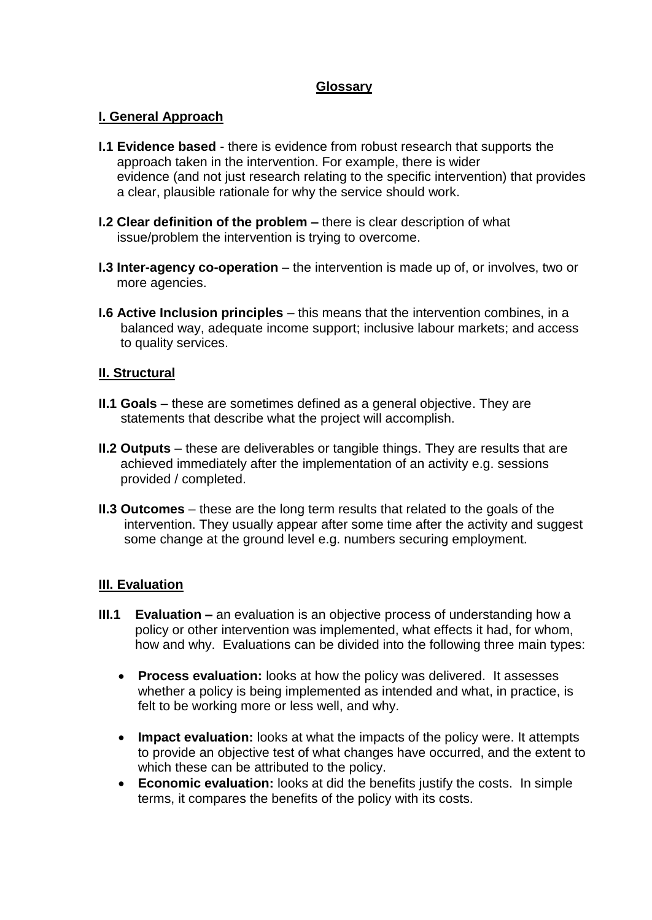### **Glossary**

#### **I. General Approach**

- **I.1 Evidence based** there is evidence from robust research that supports the approach taken in the intervention. For example, there is wider evidence (and not just research relating to the specific intervention) that provides a clear, plausible rationale for why the service should work.
- **I.2 Clear definition of the problem –** there is clear description of what issue/problem the intervention is trying to overcome.
- **I.3 Inter-agency co-operation** the intervention is made up of, or involves, two or more agencies.
- **I.6 Active Inclusion principles** this means that the intervention combines, in a balanced way, adequate income support; inclusive labour markets; and access to quality services.

#### **II. Structural**

- **II.1 Goals** these are sometimes defined as a general objective. They are statements that describe what the project will accomplish.
- **II.2 Outputs** these are deliverables or tangible things. They are results that are achieved immediately after the implementation of an activity e.g. sessions provided / completed.
- **II.3 Outcomes** these are the long term results that related to the goals of the intervention. They usually appear after some time after the activity and suggest some change at the ground level e.g. numbers securing employment.

#### **III. Evaluation**

- **III.1 Evaluation –** an evaluation is an objective process of understanding how a policy or other intervention was implemented, what effects it had, for whom, how and why. Evaluations can be divided into the following three main types:
	- **Process evaluation:** looks at how the policy was delivered. It assesses whether a policy is being implemented as intended and what, in practice, is felt to be working more or less well, and why.
	- **Impact evaluation:** looks at what the impacts of the policy were. It attempts to provide an objective test of what changes have occurred, and the extent to which these can be attributed to the policy.
	- **Economic evaluation:** looks at did the benefits justify the costs. In simple terms, it compares the benefits of the policy with its costs.